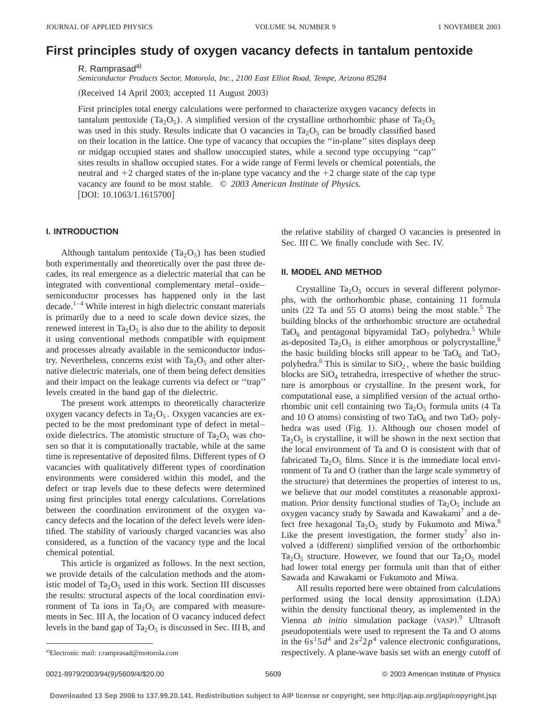# **First principles study of oxygen vacancy defects in tantalum pentoxide**

R. Ramprasad<sup>a)</sup>

*Semiconductor Products Sector, Motorola, Inc., 2100 East Elliot Road, Tempe, Arizona 85284*

 $(Received 14 April 2003; accepted 11 August 2003)$ 

First principles total energy calculations were performed to characterize oxygen vacancy defects in tantalum pentoxide (Ta<sub>2</sub>O<sub>5</sub>). A simplified version of the crystalline orthorhombic phase of Ta<sub>2</sub>O<sub>5</sub> was used in this study. Results indicate that O vacancies in  $Ta_2O_5$  can be broadly classified based on their location in the lattice. One type of vacancy that occupies the ''in-plane'' sites displays deep or midgap occupied states and shallow unoccupied states, while a second type occupying ''cap'' sites results in shallow occupied states. For a wide range of Fermi levels or chemical potentials, the neutral and  $+2$  charged states of the in-plane type vacancy and the  $+2$  charge state of the cap type vacancy are found to be most stable. © *2003 American Institute of Physics.* [DOI: 10.1063/1.1615700]

# **I. INTRODUCTION**

Although tantalum pentoxide ( $Ta_2O_5$ ) has been studied both experimentally and theoretically over the past three decades, its real emergence as a dielectric material that can be integrated with conventional complementary metal–oxide– semiconductor processes has happened only in the last  $\beta$  decade.<sup>1–4</sup> While interest in high dielectric constant materials is primarily due to a need to scale down device sizes, the renewed interest in  $Ta_2O_5$  is also due to the ability to deposit it using conventional methods compatible with equipment and processes already available in the semiconductor industry. Nevertheless, concerns exist with  $Ta_2O_5$  and other alternative dielectric materials, one of them being defect densities and their impact on the leakage currents via defect or ''trap'' levels created in the band gap of the dielectric.

The present work attempts to theoretically characterize oxygen vacancy defects in Ta<sub>2</sub>O<sub>5</sub>. Oxygen vacancies are expected to be the most predominant type of defect in metal– oxide dielectrics. The atomistic structure of  $Ta<sub>2</sub>O<sub>5</sub>$  was chosen so that it is computationally tractable, while at the same time is representative of deposited films. Different types of O vacancies with qualitatively different types of coordination environments were considered within this model, and the defect or trap levels due to these defects were determined using first principles total energy calculations. Correlations between the coordination environment of the oxygen vacancy defects and the location of the defect levels were identified. The stability of variously charged vacancies was also considered, as a function of the vacancy type and the local chemical potential.

This article is organized as follows. In the next section, we provide details of the calculation methods and the atomistic model of Ta<sub>2</sub>O<sub>5</sub> used in this work. Section III discusses the results: structural aspects of the local coordination environment of Ta ions in Ta<sub>2</sub>O<sub>5</sub> are compared with measurements in Sec. III A, the location of O vacancy induced defect levels in the band gap of  $Ta_2O_5$  is discussed in Sec. III B, and the relative stability of charged O vacancies is presented in Sec. III C. We finally conclude with Sec. IV.

# **II. MODEL AND METHOD**

Crystalline  $Ta_2O_5$  occurs in several different polymorphs, with the orthorhombic phase, containing 11 formula units  $(22$  Ta and 55 O atoms) being the most stable.<sup>5</sup> The building blocks of the orthorhombic structure are octahedral TaO<sub>6</sub> and pentagonal bipyramidal TaO<sub>7</sub> polyhedra.<sup>5</sup> While as-deposited Ta<sub>2</sub>O<sub>5</sub> is either amorphous or polycrystalline,<sup>6</sup> the basic building blocks still appear to be  $TaO_6$  and  $TaO_7$ polyhedra.<sup>6</sup> This is similar to  $SiO<sub>2</sub>$ , where the basic building blocks are  $SiO<sub>4</sub>$  tetrahedra, irrespective of whether the structure is amorphous or crystalline. In the present work, for computational ease, a simplified version of the actual orthorhombic unit cell containing two  $Ta_2O_5$  formula units (4 Ta and 10 O atoms) consisting of two TaO $_6$  and two TaO $_7$  polyhedra was used (Fig. 1). Although our chosen model of  $Ta<sub>2</sub>O<sub>5</sub>$  is crystalline, it will be shown in the next section that the local environment of Ta and O is consistent with that of fabricated Ta<sub>2</sub>O<sub>5</sub> films. Since it is the immediate local environment of Ta and O (rather than the large scale symmetry of the structure) that determines the properties of interest to us, we believe that our model constitutes a reasonable approximation. Prior density functional studies of  $Ta_2O_5$  include an oxygen vacancy study by Sawada and Kawakami<sup>7</sup> and a defect free hexagonal Ta<sub>2</sub>O<sub>5</sub> study by Fukumoto and Miwa.<sup>8</sup> Like the present investigation, the former study<sup>7</sup> also involved a (different) simplified version of the orthorhombic Ta<sub>2</sub>O<sub>5</sub> structure. However, we found that our Ta<sub>2</sub>O<sub>5</sub> model had lower total energy per formula unit than that of either Sawada and Kawakami or Fukumoto and Miwa.

All results reported here were obtained from calculations performed using the local density approximation (LDA) within the density functional theory, as implemented in the Vienna *ab initio* simulation package (VASP).<sup>9</sup> Ultrasoft pseudopotentials were used to represent the Ta and O atoms in the  $6s^15d^4$  and  $2s^22p^4$  valence electronic configurations, respectively. A plane-wave basis set with an energy cutoff of

a)Electronic mail: r.ramprasad@motorola.com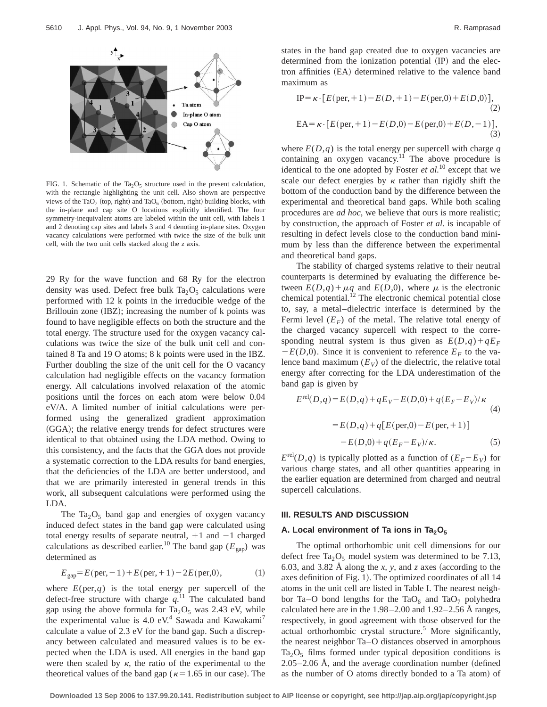

FIG. 1. Schematic of the Ta<sub>2</sub>O<sub>5</sub> structure used in the present calculation, with the rectangle highlighting the unit cell. Also shown are perspective views of the TaO<sub>7</sub> (top, right) and TaO<sub>6</sub> (bottom, right) building blocks, with the in-plane and cap site O locations explicitly identified. The four symmetry-inequivalent atoms are labeled within the unit cell, with labels 1 and 2 denoting cap sites and labels 3 and 4 denoting in-plane sites. Oxygen vacancy calculations were performed with twice the size of the bulk unit cell, with the two unit cells stacked along the *z* axis.

29 Ry for the wave function and 68 Ry for the electron density was used. Defect free bulk  $Ta_2O_5$  calculations were performed with 12 k points in the irreducible wedge of the Brillouin zone  $(IBZ)$ ; increasing the number of k points was found to have negligible effects on both the structure and the total energy. The structure used for the oxygen vacancy calculations was twice the size of the bulk unit cell and contained 8 Ta and 19 O atoms; 8 k points were used in the IBZ. Further doubling the size of the unit cell for the O vacancy calculation had negligible effects on the vacancy formation energy. All calculations involved relaxation of the atomic positions until the forces on each atom were below 0.04 eV/A. A limited number of initial calculations were performed using the generalized gradient approximation (GGA); the relative energy trends for defect structures were identical to that obtained using the LDA method. Owing to this consistency, and the facts that the GGA does not provide a systematic correction to the LDA results for band energies, that the deficiencies of the LDA are better understood, and that we are primarily interested in general trends in this work, all subsequent calculations were performed using the LDA.

The Ta<sub>2</sub>O<sub>5</sub> band gap and energies of oxygen vacancy induced defect states in the band gap were calculated using total energy results of separate neutral,  $+1$  and  $-1$  charged calculations as described earlier.<sup>10</sup> The band gap ( $E_{\text{gap}}$ ) was determined as

$$
E_{\rm gap} = E(\text{per}, -1) + E(\text{per}, +1) - 2E(\text{per}, 0),\tag{1}
$$

where  $E(\text{per}, q)$  is the total energy per supercell of the defect-free structure with charge  $q$ .<sup>11</sup> The calculated band gap using the above formula for  $Ta_2O_5$  was 2.43 eV, while the experimental value is 4.0 eV.<sup>4</sup> Sawada and Kawakami<sup>7</sup> calculate a value of 2.3 eV for the band gap. Such a discrepancy between calculated and measured values is to be expected when the LDA is used. All energies in the band gap were then scaled by  $\kappa$ , the ratio of the experimental to the theoretical values of the band gap ( $\kappa=1.65$  in our case). The states in the band gap created due to oxygen vacancies are determined from the ionization potential  $(\text{IP})$  and the electron affinities (EA) determined relative to the valence band maximum as

$$
IP = \kappa \cdot [E(\text{per}, +1) - E(D, +1) - E(\text{per}, 0) + E(D, 0)],
$$
  
(2)  

$$
EA = \kappa \cdot [E(\text{per}, +1) - E(D, 0) - E(\text{per}, 0) + E(D, -1)],
$$
  
(3)

where  $E(D,q)$  is the total energy per supercell with charge  $q$ containing an oxygen vacancy.<sup>11</sup> The above procedure is identical to the one adopted by Foster *et al.*<sup>10</sup> except that we scale our defect energies by  $\kappa$  rather than rigidly shift the bottom of the conduction band by the difference between the experimental and theoretical band gaps. While both scaling procedures are *ad hoc*, we believe that ours is more realistic; by construction, the approach of Foster *et al.* is incapable of resulting in defect levels close to the conduction band minimum by less than the difference between the experimental and theoretical band gaps.

The stability of charged systems relative to their neutral counterparts is determined by evaluating the difference between  $E(D,q) + \mu q$  and  $E(D,0)$ , where  $\mu$  is the electronic chemical potential.<sup>12</sup> The electronic chemical potential close to, say, a metal–dielectric interface is determined by the Fermi level  $(E_F)$  of the metal. The relative total energy of the charged vacancy supercell with respect to the corresponding neutral system is thus given as  $E(D,q) + qE_F$  $-E(D,0)$ . Since it is convenient to reference  $E_F$  to the valence band maximum  $(E_V)$  of the dielectric, the relative total energy after correcting for the LDA underestimation of the band gap is given by

$$
E^{\text{rel}}(D,q) = E(D,q) + qE_V - E(D,0) + q(E_F - E_V)/\kappa
$$
  
=  $E(D,q) + q[E(\text{per},0) - E(\text{per},+1)]$   
 $- E(D,0) + q(E_F - E_V)/\kappa.$  (5)

 $E^{\text{rel}}(D,q)$  is typically plotted as a function of  $(E_F-E_V)$  for various charge states, and all other quantities appearing in the earlier equation are determined from charged and neutral supercell calculations.

### **III. RESULTS AND DISCUSSION**

# A. Local environment of Ta ions in Ta<sub>2</sub>O<sub>5</sub>

The optimal orthorhombic unit cell dimensions for our defect free  $Ta_2O_5$  model system was determined to be 7.13, 6.03, and 3.82 Å along the *x*, *y*, and *z* axes (according to the axes definition of Fig. 1). The optimized coordinates of all 14 atoms in the unit cell are listed in Table I. The nearest neighbor Ta–O bond lengths for the TaO<sub>6</sub> and TaO<sub>7</sub> polyhedra calculated here are in the 1.98–2.00 and 1.92–2.56 Å ranges, respectively, in good agreement with those observed for the actual orthorhombic crystal structure.<sup>5</sup> More significantly, the nearest neighbor Ta–O distances observed in amorphous  $Ta_2O_5$  films formed under typical deposition conditions is  $2.05-2.06$  Å, and the average coordination number (defined as the number of O atoms directly bonded to a Ta atom) of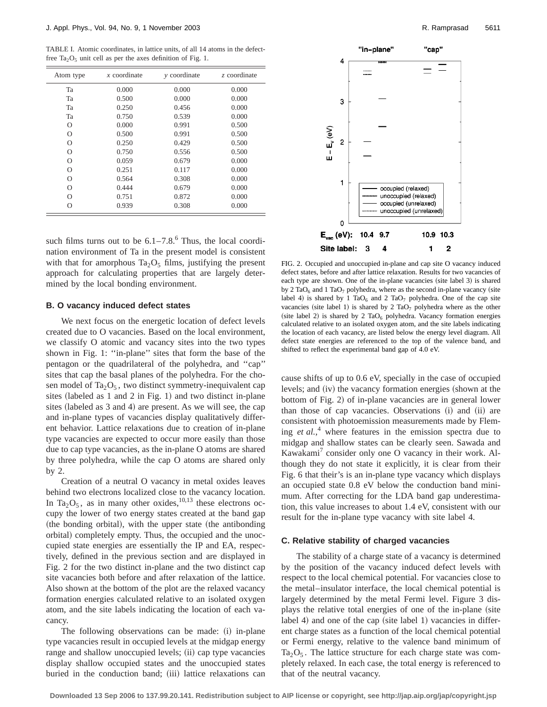TABLE I. Atomic coordinates, in lattice units, of all 14 atoms in the defectfree Ta<sub>2</sub>O<sub>5</sub> unit cell as per the axes definition of Fig. 1.

| Atom type | $x$ coordinate | <i>v</i> coordinate | z coordinate |
|-----------|----------------|---------------------|--------------|
| Ta        | 0.000          | 0.000               | 0.000        |
| Ta        | 0.500          | 0.000               | 0.000        |
| Ta        | 0.250          | 0.456               | 0.000        |
| Ta        | 0.750          | 0.539               | 0.000        |
| O         | 0.000          | 0.991               | 0.500        |
| $\Omega$  | 0.500          | 0.991               | 0.500        |
| $\Omega$  | 0.250          | 0.429               | 0.500        |
| $\Omega$  | 0.750          | 0.556               | 0.500        |
| O         | 0.059          | 0.679               | 0.000        |
| О         | 0.251          | 0.117               | 0.000        |
| O         | 0.564          | 0.308               | 0.000        |
| $\Omega$  | 0.444          | 0.679               | 0.000        |
| O         | 0.751          | 0.872               | 0.000        |
| O         | 0.939          | 0.308               | 0.000        |

such films turns out to be  $6.1-7.8$ .<sup>6</sup> Thus, the local coordination environment of Ta in the present model is consistent with that for amorphous  $Ta_2O_5$  films, justifying the present approach for calculating properties that are largely determined by the local bonding environment.

#### **B. O vacancy induced defect states**

We next focus on the energetic location of defect levels created due to O vacancies. Based on the local environment, we classify O atomic and vacancy sites into the two types shown in Fig. 1: ''in-plane'' sites that form the base of the pentagon or the quadrilateral of the polyhedra, and ''cap'' sites that cap the basal planes of the polyhedra. For the chosen model of  $Ta_2O_5$ , two distinct symmetry-inequivalent cap sites (labeled as 1 and 2 in Fig. 1) and two distinct in-plane sites (labeled as  $3$  and  $4$ ) are present. As we will see, the cap and in-plane types of vacancies display qualitatively different behavior. Lattice relaxations due to creation of in-plane type vacancies are expected to occur more easily than those due to cap type vacancies, as the in-plane O atoms are shared by three polyhedra, while the cap O atoms are shared only by 2.

Creation of a neutral O vacancy in metal oxides leaves behind two electrons localized close to the vacancy location. In Ta<sub>2</sub>O<sub>5</sub>, as in many other oxides,<sup>10,13</sup> these electrons occupy the lower of two energy states created at the band gap  $($ the bonding orbital $)$ , with the upper state  $($ the antibonding orbital) completely empty. Thus, the occupied and the unoccupied state energies are essentially the IP and EA, respectively, defined in the previous section and are displayed in Fig. 2 for the two distinct in-plane and the two distinct cap site vacancies both before and after relaxation of the lattice. Also shown at the bottom of the plot are the relaxed vacancy formation energies calculated relative to an isolated oxygen atom, and the site labels indicating the location of each vacancy.

The following observations can be made: (i) in-plane type vacancies result in occupied levels at the midgap energy range and shallow unoccupied levels; (ii) cap type vacancies display shallow occupied states and the unoccupied states buried in the conduction band; (iii) lattice relaxations can



FIG. 2. Occupied and unoccupied in-plane and cap site O vacancy induced defect states, before and after lattice relaxation. Results for two vacancies of each type are shown. One of the in-plane vacancies (site label 3) is shared by 2 TaO<sub>6</sub> and 1 TaO<sub>7</sub> polyhedra, where as the second in-plane vacancy (site label 4) is shared by 1 TaO<sub>6</sub> and 2 TaO<sub>7</sub> polyhedra. One of the cap site vacancies (site label 1) is shared by 2  $TaO<sub>7</sub>$  polyhedra where as the other (site label 2) is shared by 2  $TaO<sub>6</sub>$  polyhedra. Vacancy formation energies calculated relative to an isolated oxygen atom, and the site labels indicating the location of each vacancy, are listed below the energy level diagram. All defect state energies are referenced to the top of the valence band, and shifted to reflect the experimental band gap of 4.0 eV.

cause shifts of up to 0.6 eV, specially in the case of occupied levels; and (iv) the vacancy formation energies (shown at the bottom of Fig. 2) of in-plane vacancies are in general lower than those of cap vacancies. Observations (i) and (ii) are consistent with photoemission measurements made by Fleming *et al.*, <sup>4</sup> where features in the emission spectra due to midgap and shallow states can be clearly seen. Sawada and Kawakami<sup>7</sup> consider only one O vacancy in their work. Although they do not state it explicitly, it is clear from their Fig. 6 that their's is an in-plane type vacancy which displays an occupied state 0.8 eV below the conduction band minimum. After correcting for the LDA band gap underestimation, this value increases to about 1.4 eV, consistent with our result for the in-plane type vacancy with site label 4.

### **C. Relative stability of charged vacancies**

The stability of a charge state of a vacancy is determined by the position of the vacancy induced defect levels with respect to the local chemical potential. For vacancies close to the metal–insulator interface, the local chemical potential is largely determined by the metal Fermi level. Figure 3 displays the relative total energies of one of the in-plane (site label 4) and one of the cap (site label 1) vacancies in different charge states as a function of the local chemical potential or Fermi energy, relative to the valence band minimum of  $Ta<sub>2</sub>O<sub>5</sub>$ . The lattice structure for each charge state was completely relaxed. In each case, the total energy is referenced to that of the neutral vacancy.